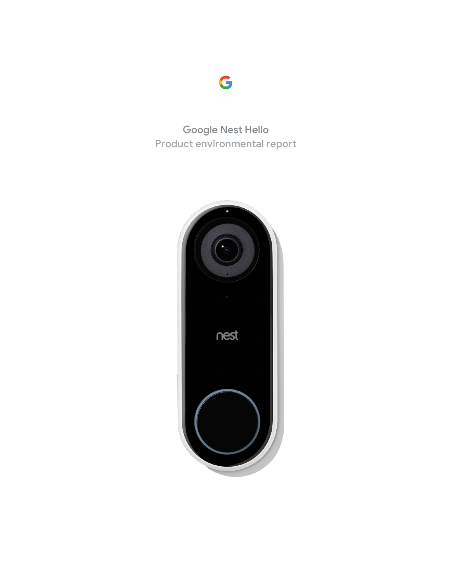

Google Nest Hello Product environmental report

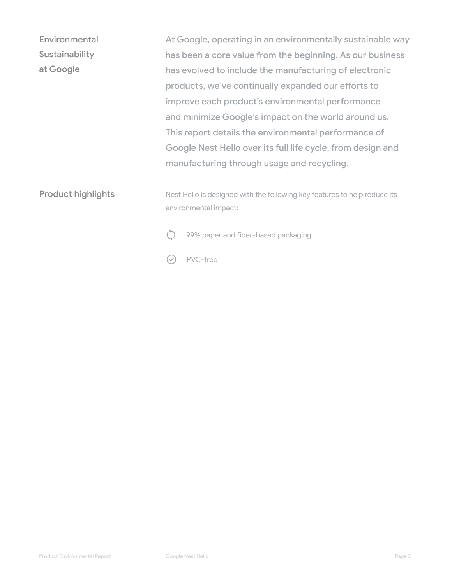Product highlights At Google, operating in an environmentally sustainable way has been a core value from the beginning. As our business has evolved to include the manufacturing of electronic products, we've continually expanded our efforts to improve each product's environmental performance and minimize Google's impact on the world around us. This report details the environmental performance of Google Nest Hello over its full life cycle, from design and manufacturing through usage and recycling. **Environmental Sustainability** at Google Nest Hello is designed with the following key features to help reduce its environmental impact: 99% paper and fiber-based packaging

PVC-free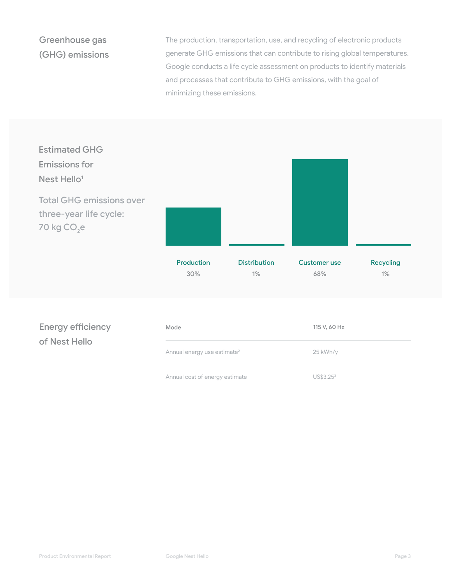## Greenhouse gas (GHG) emissions

The production, transportation, use, and recycling of electronic products generate GHG emissions that can contribute to rising global temperatures. Google conducts a life cycle assessment on products to identify materials and processes that contribute to GHG emissions, with the goal of minimizing these emissions.

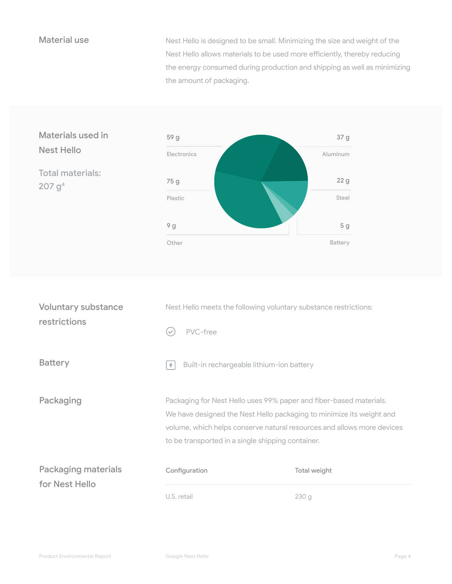Material use Nest Hello is designed to be small. Minimizing the size and weight of the Nest Hello allows materials to be used more efficiently, thereby reducing the energy consumed during production and shipping as well as minimizing the amount of packaging.



| <b>Voluntary substance</b><br>restrictions   | Nest Hello meets the following voluntary substance restrictions:<br>PVC-free<br>$\checkmark$                                                                                                                                                                              |              |
|----------------------------------------------|---------------------------------------------------------------------------------------------------------------------------------------------------------------------------------------------------------------------------------------------------------------------------|--------------|
| <b>Battery</b>                               | Built-in rechargeable lithium-ion battery<br>$\ddot{\phantom{1}}$                                                                                                                                                                                                         |              |
| Packaging                                    | Packaging for Nest Hello uses 99% paper and fiber-based materials.<br>We have designed the Nest Hello packaging to minimize its weight and<br>volume, which helps conserve natural resources and allows more devices<br>to be transported in a single shipping container. |              |
| <b>Packaging materials</b><br>for Nest Hello | Configuration                                                                                                                                                                                                                                                             | Total weight |
|                                              | U.S. retail                                                                                                                                                                                                                                                               | 230 g        |